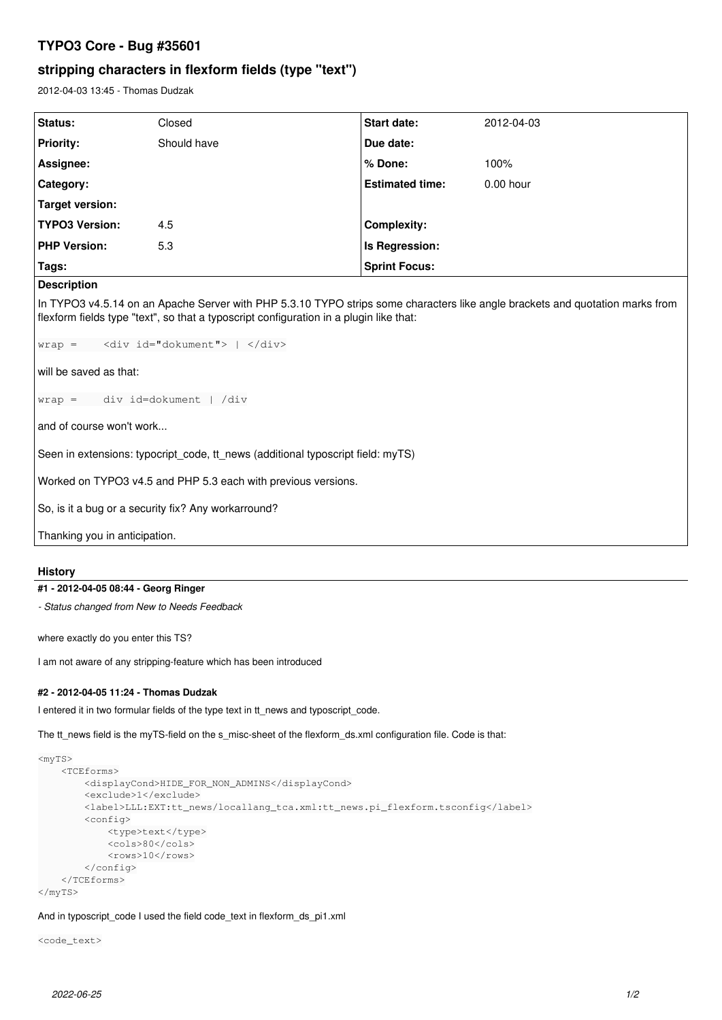# **TYPO3 Core - Bug #35601**

## **stripping characters in flexform fields (type "text")**

2012-04-03 13:45 - Thomas Dudzak

| <b>Status:</b>        | Closed      | <b>Start date:</b>     | 2012-04-03  |
|-----------------------|-------------|------------------------|-------------|
| <b>Priority:</b>      | Should have | Due date:              |             |
| Assignee:             |             | % Done:                | 100%        |
| Category:             |             | <b>Estimated time:</b> | $0.00$ hour |
| Target version:       |             |                        |             |
| <b>TYPO3 Version:</b> | 4.5         | Complexity:            |             |
| <b>PHP Version:</b>   | 5.3         | Is Regression:         |             |
| Tags:                 |             | <b>Sprint Focus:</b>   |             |

## **Description**

In TYPO3 v4.5.14 on an Apache Server with PHP 5.3.10 TYPO strips some characters like angle brackets and quotation marks from flexform fields type "text", so that a typoscript configuration in a plugin like that:

 $wrap = \langle div id = "dokument" \rangle \mid \langle /div \rangle$ 

will be saved as that:

wrap = div id=dokument | /div

and of course won't work...

Seen in extensions: typocript\_code, tt\_news (additional typoscript field: myTS)

Worked on TYPO3 v4.5 and PHP 5.3 each with previous versions.

So, is it a bug or a security fix? Any workarround?

```
Thanking you in anticipation.
```
#### **History**

### **#1 - 2012-04-05 08:44 - Georg Ringer**

*- Status changed from New to Needs Feedback*

where exactly do you enter this TS?

I am not aware of any stripping-feature which has been introduced

### **#2 - 2012-04-05 11:24 - Thomas Dudzak**

I entered it in two formular fields of the type text in tt\_news and typoscript\_code.

The tt\_news field is the myTS-field on the s\_misc-sheet of the flexform\_ds.xml configuration file. Code is that:

```
<sub>mvTS</sub></sub>
         <TCEforms>
                  <displayCond>HIDE_FOR_NON_ADMINS</displayCond>
                  <exclude>1</exclude>
                  <label>LLL:EXT:tt_news/locallang_tca.xml:tt_news.pi_flexform.tsconfig</label>
                  <config>
                           <type>text</type>
                            <cols>80</cols>
                <rows>10</rows>
                  </config>
         </TCEforms>
</myTS>
```
And in typoscript\_code I used the field code\_text in flexform\_ds\_pi1.xml

<code\_text>